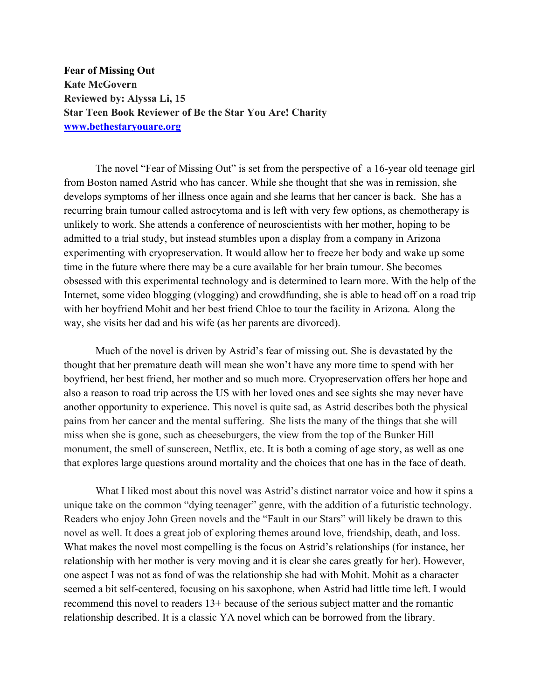**Fear of Missing Out Kate McGovern Reviewed by: Alyssa Li, 15 Star Teen Book Reviewer of Be the Star You Are! Charity www.bethestaryouare.org**

The novel "Fear of Missing Out" is set from the perspective of a 16-year old teenage girl from Boston named Astrid who has cancer. While she thought that she was in remission, she develops symptoms of her illness once again and she learns that her cancer is back. She has a recurring brain tumour called astrocytoma and is left with very few options, as chemotherapy is unlikely to work. She attends a conference of neuroscientists with her mother, hoping to be admitted to a trial study, but instead stumbles upon a display from a company in Arizona experimenting with cryopreservation. It would allow her to freeze her body and wake up some time in the future where there may be a cure available for her brain tumour. She becomes obsessed with this experimental technology and is determined to learn more. With the help of the Internet, some video blogging (vlogging) and crowdfunding, she is able to head off on a road trip with her boyfriend Mohit and her best friend Chloe to tour the facility in Arizona. Along the way, she visits her dad and his wife (as her parents are divorced).

Much of the novel is driven by Astrid's fear of missing out. She is devastated by the thought that her premature death will mean she won't have any more time to spend with her boyfriend, her best friend, her mother and so much more. Cryopreservation offers her hope and also a reason to road trip across the US with her loved ones and see sights she may never have another opportunity to experience. This novel is quite sad, as Astrid describes both the physical pains from her cancer and the mental suffering. She lists the many of the things that she will miss when she is gone, such as cheeseburgers, the view from the top of the Bunker Hill monument, the smell of sunscreen, Netflix, etc. It is both a coming of age story, as well as one that explores large questions around mortality and the choices that one has in the face of death.

What I liked most about this novel was Astrid's distinct narrator voice and how it spins a unique take on the common "dying teenager" genre, with the addition of a futuristic technology. Readers who enjoy John Green novels and the "Fault in our Stars" will likely be drawn to this novel as well. It does a great job of exploring themes around love, friendship, death, and loss. What makes the novel most compelling is the focus on Astrid's relationships (for instance, her relationship with her mother is very moving and it is clear she cares greatly for her). However, one aspect I was not as fond of was the relationship she had with Mohit. Mohit as a character seemed a bit self-centered, focusing on his saxophone, when Astrid had little time left. I would recommend this novel to readers 13+ because of the serious subject matter and the romantic relationship described. It is a classic YA novel which can be borrowed from the library.